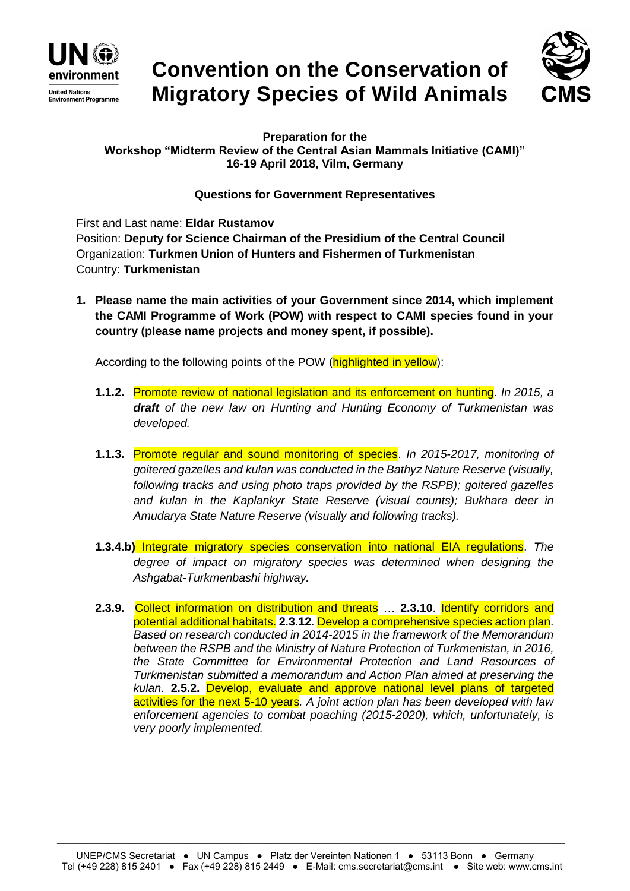

## **Convention on the Conservation of Migratory Species of Wild Animals**



**Preparation for the Workshop "Midterm Review of the Central Asian Mammals Initiative (CAMI)" 16-19 April 2018, Vilm, Germany**

## **Questions for Government Representatives**

First and Last name: **Eldar Rustamov** Position: **Deputy for Science Chairman of the Presidium of the Central Council** Organization: **Turkmen Union of Hunters and Fishermen of Turkmenistan** Country: **Turkmenistan**

**1. Please name the main activities of your Government since 2014, which implement the CAMI Programme of Work (POW) with respect to CAMI species found in your country (please name projects and money spent, if possible).**

According to the following points of the POW (highlighted in yellow):

- **1.1.2.** Promote review of national legislation and its enforcement on hunting. *In 2015, a draft of the new law on Hunting and Hunting Economy of Turkmenistan was developed.*
- **1.1.3.** Promote regular and sound monitoring of species. *In 2015-2017, monitoring of goitered gazelles and kulan was conducted in the Bathyz Nature Reserve (visually, following tracks and using photo traps provided by the RSPB); goitered gazelles and kulan in the Kaplankyr State Reserve (visual counts); Bukhara deer in Amudarya State Nature Reserve (visually and following tracks).*
- **1.3.4.b)** Integrate migratory species conservation into national EIA regulations. *The degree of impact on migratory species was determined when designing the Ashgabat-Turkmenbashi highway.*
- **2.3.9.** Collect information on distribution and threats … **2.3.10**. Identify corridors and potential additional habitats. **2.3.12**. Develop a comprehensive species action plan. *Based on research conducted in 2014-2015 in the framework of the Memorandum*  between the RSPB and the Ministry of Nature Protection of Turkmenistan, in 2016, *the State Committee for Environmental Protection and Land Resources of Turkmenistan submitted a memorandum and Action Plan aimed at preserving the kulan.* **2.5.2.** Develop, evaluate and approve national level plans of targeted activities for the next 5-10 years*. A joint action plan has been developed with law enforcement agencies to combat poaching (2015-2020), which, unfortunately, is very poorly implemented.*

\_\_\_\_\_\_\_\_\_\_\_\_\_\_\_\_\_\_\_\_\_\_\_\_\_\_\_\_\_\_\_\_\_\_\_\_\_\_\_\_\_\_\_\_\_\_\_\_\_\_\_\_\_\_\_\_\_\_\_\_\_\_\_\_\_\_\_\_\_\_\_\_\_\_\_\_\_\_\_\_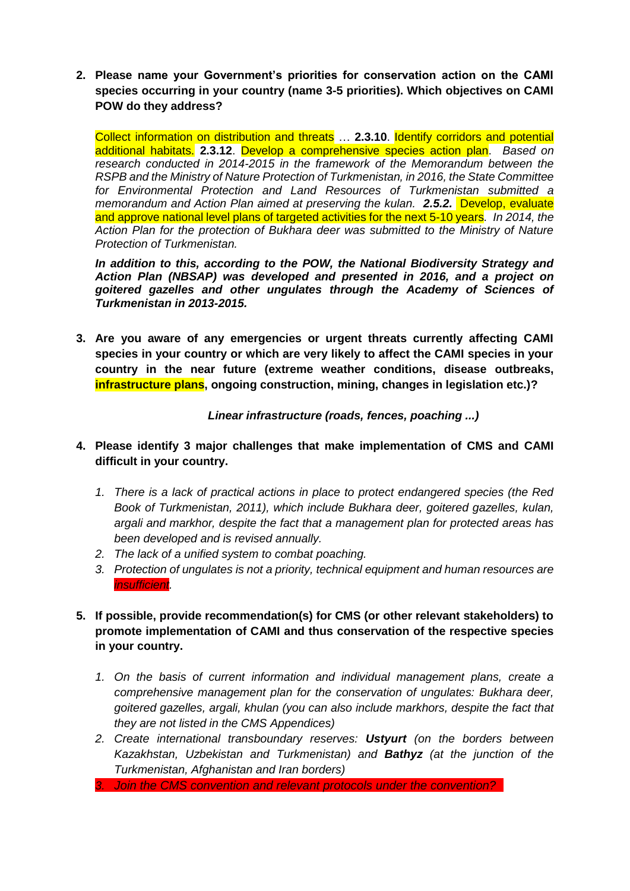**2. Please name your Government's priorities for conservation action on the CAMI species occurring in your country (name 3-5 priorities). Which objectives on CAMI POW do they address?**

Collect information on distribution and threats … **2.3.10**. Identify corridors and potential additional habitats. **2.3.12**. Develop a comprehensive species action plan. *Based on research conducted in 2014-2015 in the framework of the Memorandum between the RSPB and the Ministry of Nature Protection of Turkmenistan, in 2016, the State Committee for Environmental Protection and Land Resources of Turkmenistan submitted a memorandum and Action Plan aimed at preserving the kulan. 2.5.2.* Develop, evaluate and approve national level plans of targeted activities for the next 5-10 years*. In 2014, the Action Plan for the protection of Bukhara deer was submitted to the Ministry of Nature Protection of Turkmenistan.*

*In addition to this, according to the POW, the National Biodiversity Strategy and Action Plan (NBSAP) was developed and presented in 2016, and a project on goitered gazelles and other ungulates through the Academy of Sciences of Turkmenistan in 2013-2015.*

**3. Are you aware of any emergencies or urgent threats currently affecting CAMI species in your country or which are very likely to affect the CAMI species in your country in the near future (extreme weather conditions, disease outbreaks, infrastructure plans, ongoing construction, mining, changes in legislation etc.)?**

*Linear infrastructure (roads, fences, poaching ...)*

- **4. Please identify 3 major challenges that make implementation of CMS and CAMI difficult in your country.**
	- *1. There is a lack of practical actions in place to protect endangered species (the Red Book of Turkmenistan, 2011), which include Bukhara deer, goitered gazelles, kulan, argali and markhor, despite the fact that a management plan for protected areas has been developed and is revised annually.*
	- *2. The lack of a unified system to combat poaching.*
	- *3. Protection of ungulates is not a priority, technical equipment and human resources are insufficient.*
- **5. If possible, provide recommendation(s) for CMS (or other relevant stakeholders) to promote implementation of CAMI and thus conservation of the respective species in your country.** 
	- *1. On the basis of current information and individual management plans, create a comprehensive management plan for the conservation of ungulates: Bukhara deer, goitered gazelles, argali, khulan (you can also include markhors, despite the fact that they are not listed in the CMS Appendices)*
	- *2. Create international transboundary reserves: Ustyurt (on the borders between Kazakhstan, Uzbekistan and Turkmenistan) and Bathyz (at the junction of the Turkmenistan, Afghanistan and Iran borders)*
	- *3. Join the CMS convention and relevant protocols under the convention?*